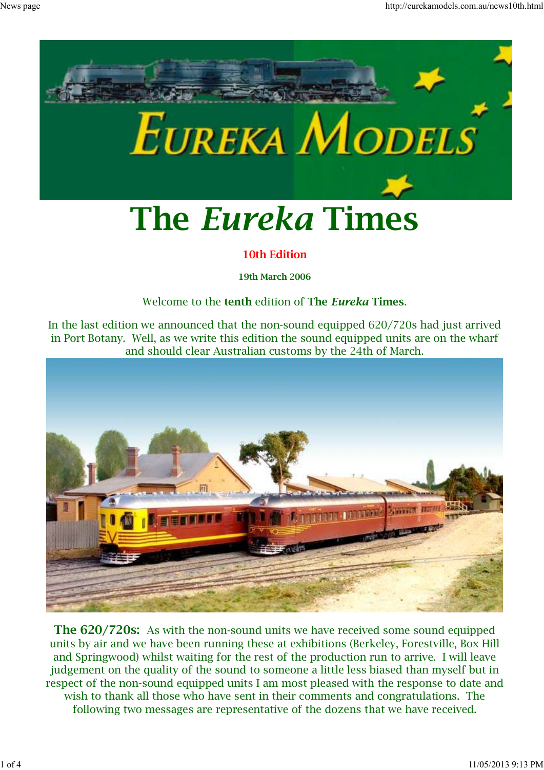

#### **10th Edition**

**19th March 2006**

#### Welcome to the **tenth** edition of **The** *Eureka* **Times**.

In the last edition we announced that the non-sound equipped 620/720s had just arrived in Port Botany. Well, as we write this edition the sound equipped units are on the wharf and should clear Australian customs by the 24th of March.



**The 620/720s:** As with the non-sound units we have received some sound equipped units by air and we have been running these at exhibitions (Berkeley, Forestville, Box Hill and Springwood) whilst waiting for the rest of the production run to arrive. I will leave judgement on the quality of the sound to someone a little less biased than myself but in respect of the non-sound equipped units I am most pleased with the response to date and wish to thank all those who have sent in their comments and congratulations. The following two messages are representative of the dozens that we have received.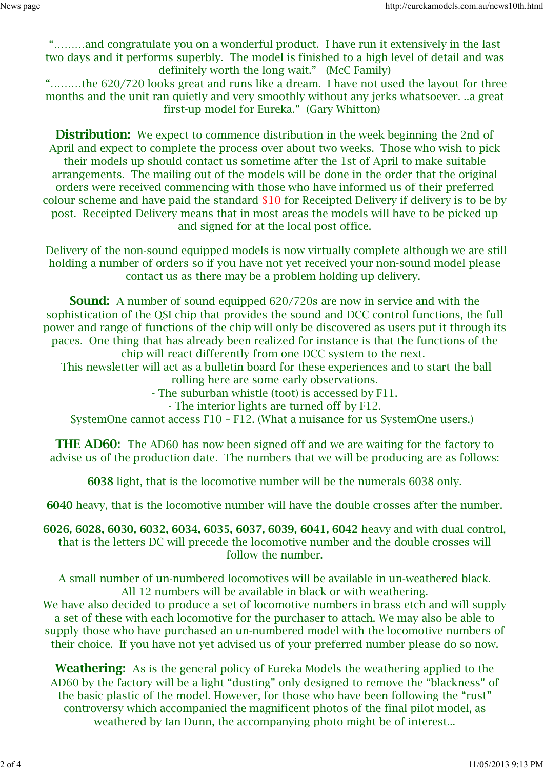"………and congratulate you on a wonderful product. I have run it extensively in the last two days and it performs superbly. The model is finished to a high level of detail and was definitely worth the long wait." (McC Family)

 "………the 620/720 looks great and runs like a dream. I have not used the layout for three months and the unit ran quietly and very smoothly without any jerks whatsoever. ..a great first-up model for Eureka." (Gary Whitton)

**Distribution:** We expect to commence distribution in the week beginning the 2nd of April and expect to complete the process over about two weeks. Those who wish to pick their models up should contact us sometime after the 1st of April to make suitable arrangements. The mailing out of the models will be done in the order that the original orders were received commencing with those who have informed us of their preferred colour scheme and have paid the standard \$10 for Receipted Delivery if delivery is to be by post. Receipted Delivery means that in most areas the models will have to be picked up and signed for at the local post office.

 Delivery of the non-sound equipped models is now virtually complete although we are still holding a number of orders so if you have not yet received your non-sound model please contact us as there may be a problem holding up delivery.

**Sound:** A number of sound equipped 620/720s are now in service and with the sophistication of the QSI chip that provides the sound and DCC control functions, the full power and range of functions of the chip will only be discovered as users put it through its paces. One thing that has already been realized for instance is that the functions of the chip will react differently from one DCC system to the next.

 This newsletter will act as a bulletin board for these experiences and to start the ball rolling here are some early observations.

- The suburban whistle (toot) is accessed by F11.

- The interior lights are turned off by F12.

SystemOne cannot access F10 – F12. (What a nuisance for us SystemOne users.)

**THE AD60:** The AD60 has now been signed off and we are waiting for the factory to advise us of the production date. The numbers that we will be producing are as follows:

**6038** light, that is the locomotive number will be the numerals 6038 only.

**6040** heavy, that is the locomotive number will have the double crosses after the number.

**6026, 6028, 6030, 6032, 6034, 6035, 6037, 6039, 6041, 6042** heavy and with dual control, that is the letters DC will precede the locomotive number and the double crosses will follow the number.

A small number of un-numbered locomotives will be available in un-weathered black. All 12 numbers will be available in black or with weathering.

We have also decided to produce a set of locomotive numbers in brass etch and will supply a set of these with each locomotive for the purchaser to attach. We may also be able to supply those who have purchased an un-numbered model with the locomotive numbers of their choice. If you have not yet advised us of your preferred number please do so now.

**Weathering:** As is the general policy of Eureka Models the weathering applied to the AD60 by the factory will be a light "dusting" only designed to remove the "blackness" of the basic plastic of the model. However, for those who have been following the "rust" controversy which accompanied the magnificent photos of the final pilot model, as weathered by Ian Dunn, the accompanying photo might be of interest...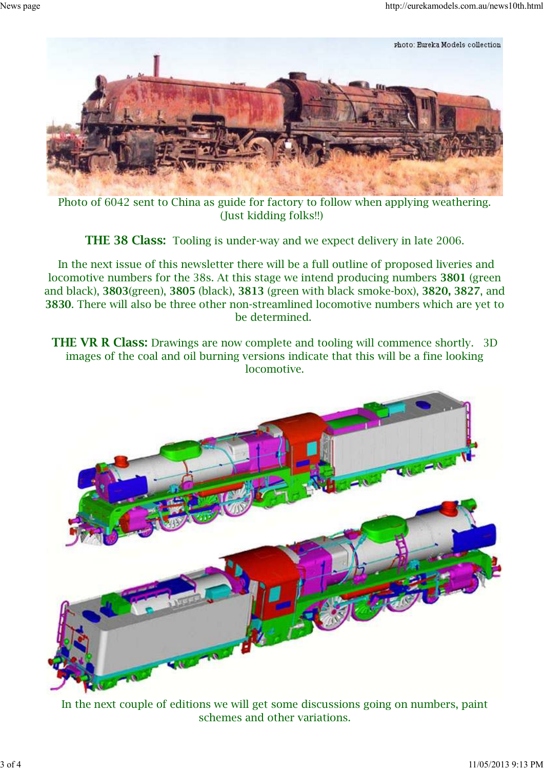

Photo of 6042 sent to China as guide for factory to follow when applying weathering. (Just kidding folks!!)

**THE 38 Class:** Tooling is under-way and we expect delivery in late 2006.

 In the next issue of this newsletter there will be a full outline of proposed liveries and locomotive numbers for the 38s. At this stage we intend producing numbers **3801** (green and black), **3803**(green), **3805** (black), **3813** (green with black smoke-box), **3820, 3827**, and **3830**. There will also be three other non-streamlined locomotive numbers which are yet to be determined.

**THE VR R Class:** Drawings are now complete and tooling will commence shortly. 3D images of the coal and oil burning versions indicate that this will be a fine looking locomotive.



In the next couple of editions we will get some discussions going on numbers, paint schemes and other variations.